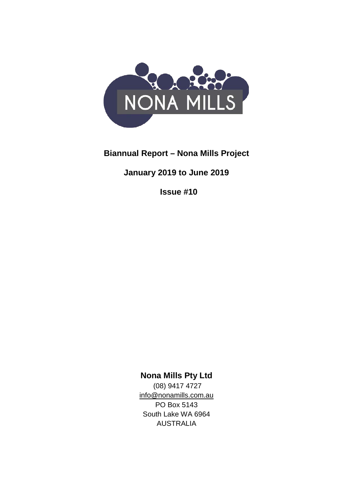

# **Biannual Report – Nona Mills Project**

# **January 2019 to June 2019**

**Issue #10**

**Nona Mills Pty Ltd**

(08) 9417 4727 [info@nonamills.com.au](mailto:info@nonamills.com.au) PO Box 5143 South Lake WA 6964 AUSTRALIA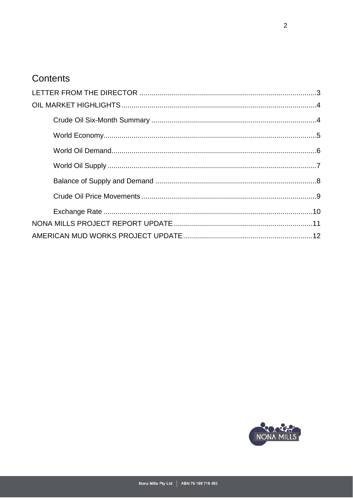# Contents

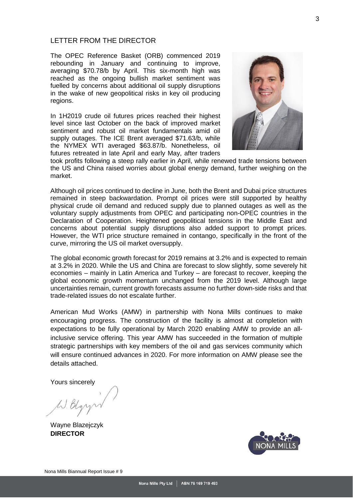### <span id="page-2-0"></span>LETTER FROM THE DIRECTOR

The OPEC Reference Basket (ORB) commenced 2019 rebounding in January and continuing to improve, averaging \$70.78/b by April. This six-month high was reached as the ongoing bullish market sentiment was fuelled by concerns about additional oil supply disruptions in the wake of new geopolitical risks in key oil producing regions.

In 1H2019 crude oil futures prices reached their highest level since last October on the back of improved market sentiment and robust oil market fundamentals amid oil supply outages. The ICE Brent averaged \$71.63/b, while the NYMEX WTI averaged \$63.87/b. Nonetheless, oil futures retreated in late April and early May, after traders



took profits following a steep rally earlier in April, while renewed trade tensions between the US and China raised worries about global energy demand, further weighing on the market.

Although oil prices continued to decline in June, both the Brent and Dubai price structures remained in steep backwardation. Prompt oil prices were still supported by healthy physical crude oil demand and reduced supply due to planned outages as well as the voluntary supply adjustments from OPEC and participating non-OPEC countries in the Declaration of Cooperation. Heightened geopolitical tensions in the Middle East and concerns about potential supply disruptions also added support to prompt prices. However, the WTI price structure remained in contango, specifically in the front of the curve, mirroring the US oil market oversupply.

The global economic growth forecast for 2019 remains at 3.2% and is expected to remain at 3.2% in 2020. While the US and China are forecast to slow slightly, some severely hit economies – mainly in Latin America and Turkey – are forecast to recover, keeping the global economic growth momentum unchanged from the 2019 level. Although large uncertainties remain, current growth forecasts assume no further down-side risks and that trade-related issues do not escalate further.

American Mud Works (AMW) in partnership with Nona Mills continues to make encouraging progress. The construction of the facility is almost at completion with expectations to be fully operational by March 2020 enabling AMW to provide an allinclusive service offering. This year AMW has succeeded in the formation of multiple strategic partnerships with key members of the oil and gas services community which will ensure continued advances in 2020. For more information on AMW please see the details attached.

Yours sincerely

<span id="page-2-1"></span>Wayne Blazejczyk **DIRECTOR**

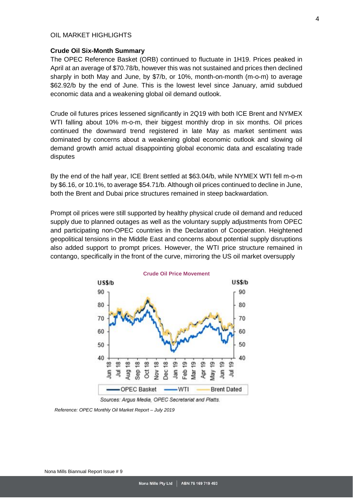#### OIL MARKET HIGHLIGHTS

#### <span id="page-3-0"></span>**Crude Oil Six-Month Summary**

The OPEC Reference Basket (ORB) continued to fluctuate in 1H19. Prices peaked in April at an average of \$70.78/b, however this was not sustained and prices then declined sharply in both May and June, by \$7/b, or 10%, month-on-month (m-o-m) to average \$62.92/b by the end of June. This is the lowest level since January, amid subdued economic data and a weakening global oil demand outlook.

Crude oil futures prices lessened significantly in 2Q19 with both ICE Brent and NYMEX WTI falling about 10% m-o-m, their biggest monthly drop in six months. Oil prices continued the downward trend registered in late May as market sentiment was dominated by concerns about a weakening global economic outlook and slowing oil demand growth amid actual disappointing global economic data and escalating trade disputes

By the end of the half year, ICE Brent settled at \$63.04/b, while NYMEX WTI fell m-o-m by \$6.16, or 10.1%, to average \$54.71/b. Although oil prices continued to decline in June, both the Brent and Dubai price structures remained in steep backwardation.

Prompt oil prices were still supported by healthy physical crude oil demand and reduced supply due to planned outages as well as the voluntary supply adjustments from OPEC and participating non-OPEC countries in the Declaration of Cooperation. Heightened geopolitical tensions in the Middle East and concerns about potential supply disruptions also added support to prompt prices. However, the WTI price structure remained in contango, specifically in the front of the curve, mirroring the US oil market oversupply



Sources: Argus Media, OPEC Secretariat and Platts.

<span id="page-3-1"></span>*Reference: OPEC Monthly Oil Market Report – July 2019*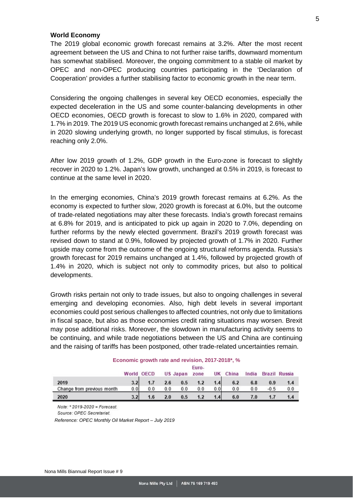### **World Economy**

The 2019 global economic growth forecast remains at 3.2%. After the most recent agreement between the US and China to not further raise tariffs, downward momentum has somewhat stabilised. Moreover, the ongoing commitment to a stable oil market by OPEC and non-OPEC producing countries participating in the 'Declaration of Cooperation' provides a further stabilising factor to economic growth in the near term.

Considering the ongoing challenges in several key OECD economies, especially the expected deceleration in the US and some counter-balancing developments in other OECD economies, OECD growth is forecast to slow to 1.6% in 2020, compared with 1.7% in 2019. The 2019 US economic growth forecast remains unchanged at 2.6%, while in 2020 slowing underlying growth, no longer supported by fiscal stimulus, is forecast reaching only 2.0%.

After low 2019 growth of 1.2%, GDP growth in the Euro-zone is forecast to slightly recover in 2020 to 1.2%. Japan's low growth, unchanged at 0.5% in 2019, is forecast to continue at the same level in 2020.

In the emerging economies, China's 2019 growth forecast remains at 6.2%. As the economy is expected to further slow, 2020 growth is forecast at 6.0%, but the outcome of trade-related negotiations may alter these forecasts. India's growth forecast remains at 6.8% for 2019, and is anticipated to pick up again in 2020 to 7.0%, depending on further reforms by the newly elected government. Brazil's 2019 growth forecast was revised down to stand at 0.9%, followed by projected growth of 1.7% in 2020. Further upside may come from the outcome of the ongoing structural reforms agenda. Russia's growth forecast for 2019 remains unchanged at 1.4%, followed by projected growth of 1.4% in 2020, which is subject not only to commodity prices, but also to political developments.

Growth risks pertain not only to trade issues, but also to ongoing challenges in several emerging and developing economies. Also, high debt levels in several important economies could post serious challenges to affected countries, not only due to limitations in fiscal space, but also as those economies credit rating situations may worsen. Brexit may pose additional risks. Moreover, the slowdown in manufacturing activity seems to be continuing, and while trade negotiations between the US and China are continuing and the raising of tariffs has been postponed, other trade-related uncertainties remain.

|                            | Euro-      |     |     |          |      |     |       |       |        |               |
|----------------------------|------------|-----|-----|----------|------|-----|-------|-------|--------|---------------|
|                            | World OECD |     |     | US Japan | zone | UK  | China | India |        | Brazil Russia |
| 2019                       | 3.2        | 1.7 | 2.6 | 0.5      | 1.2  | 1.4 | 6.2   | 6.8   | 0.9    |               |
| Change from previous month | 0.01       | 0.0 | 0.0 | 0.0      | 0.0  | 0.0 | 0.0   | 0.0   | $-0.5$ | 0.0           |
| 2020                       | 3.2        | 1.6 | 2.0 | 0.5      | 1.2  | 1.4 | 6.0   | 7.0   |        |               |

#### **Economic growth rate and revision, 2017-2018\*, %**

Note:  $*$  2019-2020 = Forecast.

Source: OPEC Secretariat.

<span id="page-4-0"></span>*Reference: OPEC Monthly Oil Market Report – July 2019*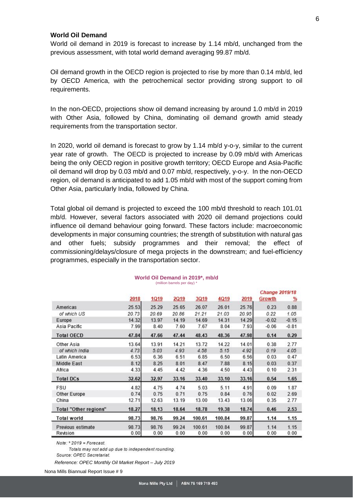#### **World Oil Demand**

World oil demand in 2019 is forecast to increase by 1.14 mb/d, unchanged from the previous assessment, with total world demand averaging 99.87 mb/d.

Oil demand growth in the OECD region is projected to rise by more than 0.14 mb/d, led by OECD America, with the petrochemical sector providing strong support to oil requirements.

In the non-OECD, projections show oil demand increasing by around 1.0 mb/d in 2019 with Other Asia, followed by China, dominating oil demand growth amid steady requirements from the transportation sector.

In 2020, world oil demand is forecast to grow by 1.14 mb/d y-o-y, similar to the current year rate of growth. The OECD is projected to increase by 0.09 mb/d with Americas being the only OECD region in positive growth territory; OECD Europe and Asia-Pacific oil demand will drop by 0.03 mb/d and 0.07 mb/d, respectively, y-o-y. In the non-OECD region, oil demand is anticipated to add 1.05 mb/d with most of the support coming from Other Asia, particularly India, followed by China.

Total global oil demand is projected to exceed the 100 mb/d threshold to reach 101.01 mb/d. However, several factors associated with 2020 oil demand projections could influence oil demand behaviour going forward. These factors include: macroeconomic developments in major consuming countries; the strength of substitution with natural gas and other fuels; subsidy programmes and their removal; the effect of commissioning/delays/closure of mega projects in the downstream; and fuel-efficiency programmes, especially in the transportation sector.

|                              |       |       |             |             |        |       | <b>Change 2019/18</b> |          |
|------------------------------|-------|-------|-------------|-------------|--------|-------|-----------------------|----------|
|                              | 2018  | 1Q19  | <b>2Q19</b> | <b>3Q19</b> | 4Q19   | 2019  | Growth                | <u>%</u> |
| Americas                     | 25.53 | 25.29 | 25.65       | 26.07       | 26.01  | 25.76 | 0.23                  | 0.88     |
| of which US                  | 20.73 | 20.69 | 20.86       | 21.21       | 21.03  | 20.95 | 0.22                  | 1.05     |
| Europe                       | 14.32 | 13.97 | 14.19       | 14.69       | 14.31  | 14.29 | $-0.02$               | $-0.15$  |
| Asia Pacific                 | 7.99  | 8.40  | 7.60        | 7.67        | 8.04   | 7.93  | $-0.06$               | $-0.81$  |
| <b>Total OECD</b>            | 47.84 | 47.66 | 47.44       | 48.43       | 48.36  | 47.98 | 0.14                  | 0.29     |
| Other Asia                   | 13.64 | 13.91 | 14.21       | 13.72       | 14.22  | 14.01 | 0.38                  | 2.77     |
| of which India               | 4.73  | 5.03  | 4.93        | 4.58        | 5.15   | 4.92  | 0.19                  | 4.05     |
| Latin America                | 6.53  | 6.36  | 6.51        | 6.85        | 6.50   | 6.56  | 0.03                  | 0.47     |
| Middle East                  | 8.12  | 8.25  | 8.01        | 8.47        | 7.88   | 8.15  | 0.03                  | 0.37     |
| Africa                       | 4.33  | 4.45  | 4.42        | 4.36        | 4.50   | 4.43  | 0.10                  | 2.31     |
| <b>Total DCs</b>             | 32.62 | 32.97 | 33.16       | 33.40       | 33.10  | 33.16 | 0.54                  | 1.65     |
| FSU                          | 4.82  | 4.75  | 4.74        | 5.03        | 5.11   | 4.91  | 0.09                  | 1.87     |
| Other Europe                 | 0.74  | 0.75  | 0.71        | 0.75        | 0.84   | 0.76  | 0.02                  | 2.69     |
| China                        | 12.71 | 12.63 | 13.19       | 13.00       | 13.43  | 13.06 | 0.35                  | 2.77     |
| <b>Total "Other regions"</b> | 18.27 | 18.13 | 18.64       | 18.78       | 19.38  | 18.74 | 0.46                  | 2.53     |
| <b>Total world</b>           | 98.73 | 98.76 | 99.24       | 100.61      | 100.84 | 99.87 | 1.14                  | 1.15     |
| Previous estimate            | 98.73 | 98.76 | 99.24       | 100.61      | 100.84 | 99.87 | 1.14                  | 1.15     |
| Revision                     | 0.00  | 0.00  | 0.00        | 0.00        | 0.00   | 0.00  | 0.00                  | 0.00     |

#### **World Oil Demand in 2019\*, mb/d** (million barrels per day) \*

 $Note: *2019 = Forecast.$ 

Totals may not add up due to independent rounding. Source: OPEC Secretariat.

*Reference: OPEC Monthly Oil Market Report – July 2019*

Nona Mills Biannual Report Issue # 9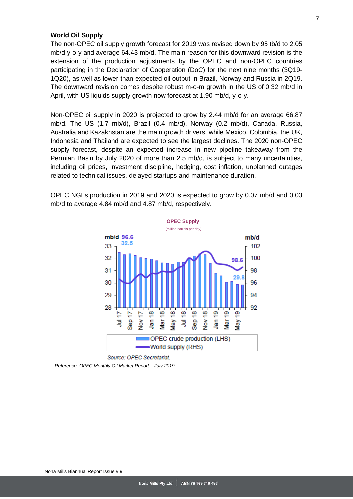#### <span id="page-6-0"></span>**World Oil Supply**

The non-OPEC oil supply growth forecast for 2019 was revised down by 95 tb/d to 2.05 mb/d y-o-y and average 64.43 mb/d. The main reason for this downward revision is the extension of the production adjustments by the OPEC and non-OPEC countries participating in the Declaration of Cooperation (DoC) for the next nine months (3Q19- 1Q20), as well as lower-than-expected oil output in Brazil, Norway and Russia in 2Q19. The downward revision comes despite robust m-o-m growth in the US of 0.32 mb/d in April, with US liquids supply growth now forecast at 1.90 mb/d, y-o-y.

Non-OPEC oil supply in 2020 is projected to grow by 2.44 mb/d for an average 66.87 mb/d. The US (1.7 mb/d), Brazil (0.4 mb/d), Norway (0.2 mb/d), Canada, Russia, Australia and Kazakhstan are the main growth drivers, while Mexico, Colombia, the UK, Indonesia and Thailand are expected to see the largest declines. The 2020 non-OPEC supply forecast, despite an expected increase in new pipeline takeaway from the Permian Basin by July 2020 of more than 2.5 mb/d, is subject to many uncertainties, including oil prices, investment discipline, hedging, cost inflation, unplanned outages related to technical issues, delayed startups and maintenance duration.

OPEC NGLs production in 2019 and 2020 is expected to grow by 0.07 mb/d and 0.03 mb/d to average 4.84 mb/d and 4.87 mb/d, respectively.



Source: OPEC Secretariat.

*Reference: OPEC Monthly Oil Market Report – July 2019*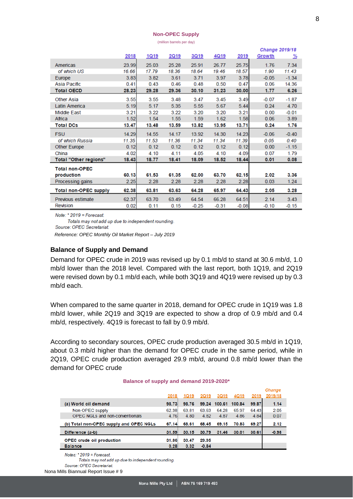#### **Non-OPEC Supply**

(million barrels per day)

|                              |       |              |       |         |             |         | <b>Change 2019/18</b> |          |  |  |
|------------------------------|-------|--------------|-------|---------|-------------|---------|-----------------------|----------|--|--|
|                              | 2018  | <u> 1Q19</u> | 2Q19  | 3Q19    | <u>4Q19</u> | 2019    | Growth                | <u>%</u> |  |  |
| Americas                     | 23.99 | 25.03        | 25.28 | 25.91   | 26.77       | 25.75   | 1.76                  | 7.34     |  |  |
| of which US                  | 16.66 | 17.79        | 18.36 | 18.64   | 19.46       | 18.57   | 1.90                  | 11.43    |  |  |
| Europe                       | 3.83  | 3.82         | 3.61  | 3.71    | 3.97        | 3.78    | $-0.05$               | $-1.34$  |  |  |
| Asia Pacific                 | 0.41  | 0.43         | 0.46  | 0.48    | 0.50        | 0.47    | 0.06                  | 14.36    |  |  |
| <b>Total OECD</b>            | 28.23 | 29.28        | 29.36 | 30.10   | 31.23       | 30.00   | 1.77                  | 6.26     |  |  |
| <b>Other Asia</b>            | 3.55  | 3.55         | 3.48  | 3.47    | 3.45        | 3.49    | $-0.07$               | $-1.87$  |  |  |
| Latin America                | 5.19  | 5.17         | 5.35  | 5.55    | 5.67        | 5.44    | 0.24                  | 4.70     |  |  |
| <b>Middle East</b>           | 3.21  | 3.22         | 3.22  | 3.20    | 3.20        | 3.21    | 0.00                  | $-0.01$  |  |  |
| Africa                       | 1.52  | 1.54         | 1.55  | 1.59    | 1.62        | 1.58    | 0.06                  | 3.89     |  |  |
| <b>Total DCs</b>             | 13.47 | 13.48        | 13.59 | 13.82   | 13.95       | 13.71   | 0.24                  | 1.76     |  |  |
| <b>FSU</b>                   | 14.29 | 14.55        | 14.17 | 13.92   | 14.30       | 14.23   | $-0.06$               | $-0.40$  |  |  |
| of which Russia              | 11.35 | 11.53        | 11.36 | 11.34   | 11.34       | 11.39   | 0.05                  | 0.40     |  |  |
| <b>Other Europe</b>          | 0.12  | 0.12         | 0.12  | 0.12    | 0.12        | 0.12    | 0.00                  | $-1.15$  |  |  |
| China                        | 4.02  | 4.10         | 4.11  | 4.05    | 4.10        | 4.09    | 0.07                  | 1.79     |  |  |
| Total "Other regions"        | 18.43 | 18.77        | 18.41 | 18.09   | 18.52       | 18.44   | 0.01                  | 0.08     |  |  |
| <b>Total non-OPEC</b>        |       |              |       |         |             |         |                       |          |  |  |
| production                   | 60.13 | 61.53        | 61.35 | 62.00   | 63.70       | 62.15   | 2.02                  | 3.36     |  |  |
| Processing gains             | 2.25  | 2.28         | 2.28  | 2.28    | 2.28        | 2.28    | 0.03                  | 1.24     |  |  |
| <b>Total non-OPEC supply</b> | 62.38 | 63.81        | 63.63 | 64.28   | 65.97       | 64.43   | 2.05                  | 3.28     |  |  |
| Previous estimate            | 62.37 | 63.70        | 63.49 | 64.54   | 66.28       | 64.51   | 2.14                  | 3.43     |  |  |
| Revision                     | 0.02  | 0.11         | 0.15  | $-0.25$ | $-0.31$     | $-0.08$ | $-0.10$               | $-0.15$  |  |  |

Note:  $*$  2019 = Forecast.

Totals may not add up due to independent rounding.

Source: OPEC Secretariat.

*Reference: OPEC Monthly Oil Market Report – July 2019*

## <span id="page-7-0"></span>**Balance of Supply and Demand**

Demand for OPEC crude in 2019 was revised up by 0.1 mb/d to stand at 30.6 mb/d, 1.0 mb/d lower than the 2018 level. Compared with the last report, both 1Q19, and 2Q19 were revised down by 0.1 mb/d each, while both 3Q19 and 4Q19 were revised up by 0.3 mb/d each.

When compared to the same quarter in 2018, demand for OPEC crude in 1Q19 was 1.8 mb/d lower, while 2Q19 and 3Q19 are expected to show a drop of 0.9 mb/d and 0.4 mb/d, respectively. 4Q19 is forecast to fall by 0.9 mb/d.

According to secondary sources, OPEC crude production averaged 30.5 mb/d in 1Q19, about 0.3 mb/d higher than the demand for OPEC crude in the same period, while in 2Q19, OPEC crude production averaged 29.9 mb/d, around 0.8 mb/d lower than the demand for OPEC crude

#### Change 2019 2019/18 2018 1Q19 2019 3019 4Q19 (a) World oil demand 98.73 98.76 99.24 100.61 100.84 99.87  $1.14$ Non-OPEC supply 62.38 63.81 63.63 64.28 65.97 64.43  $2.05$ 4.82 OPEC NGLs and non-conventionals 4.76  $0.07$ 4.80 4.87 4.86 4.84 (b) Total non-OPEC supply and OPEC NGLs 67.14 68.61 68.45 69.15 70.83 69.27 2.12 Difference (a-b) 31.59  $30.15$ 30.79 31.46 30.01 30.61  $-0.98$ **OPEC crude oil production** 31.86 30.47 29.95 **Balance**  $0.28$  $0.32$  $-0.84$

#### **Balance of supply and demand 2019-2020\***

Notes:  $*2019$  = Forecast.

Totals may not add up due to independent rounding.

Source: OPEC Secretariat.

Nona Mills Biannual Report Issue # 9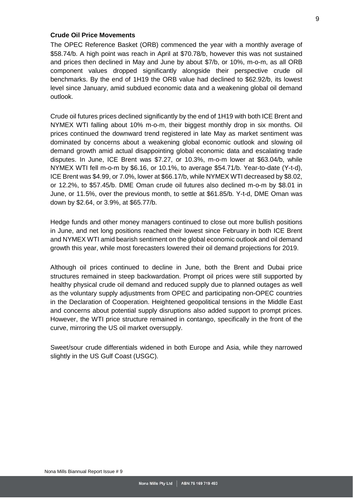#### <span id="page-8-0"></span>**Crude Oil Price Movements**

The OPEC Reference Basket (ORB) commenced the year with a monthly average of \$58.74/b. A high point was reach in April at \$70.78/b, however this was not sustained and prices then declined in May and June by about \$7/b, or 10%, m-o-m, as all ORB component values dropped significantly alongside their perspective crude oil benchmarks. By the end of 1H19 the ORB value had declined to \$62.92/b, its lowest level since January, amid subdued economic data and a weakening global oil demand outlook.

Crude oil futures prices declined significantly by the end of 1H19 with both ICE Brent and NYMEX WTI falling about 10% m-o-m, their biggest monthly drop in six months. Oil prices continued the downward trend registered in late May as market sentiment was dominated by concerns about a weakening global economic outlook and slowing oil demand growth amid actual disappointing global economic data and escalating trade disputes. In June, ICE Brent was \$7.27, or 10.3%, m-o-m lower at \$63.04/b, while NYMEX WTI fell m-o-m by \$6.16, or 10.1%, to average \$54.71/b. Year-to-date (Y-t-d), ICE Brent was \$4.99, or 7.0%, lower at \$66.17/b, while NYMEX WTI decreased by \$8.02, or 12.2%, to \$57.45/b. DME Oman crude oil futures also declined m-o-m by \$8.01 in June, or 11.5%, over the previous month, to settle at \$61.85/b. Y-t-d, DME Oman was down by \$2.64, or 3.9%, at \$65.77/b.

Hedge funds and other money managers continued to close out more bullish positions in June, and net long positions reached their lowest since February in both ICE Brent and NYMEX WTI amid bearish sentiment on the global economic outlook and oil demand growth this year, while most forecasters lowered their oil demand projections for 2019.

Although oil prices continued to decline in June, both the Brent and Dubai price structures remained in steep backwardation. Prompt oil prices were still supported by healthy physical crude oil demand and reduced supply due to planned outages as well as the voluntary supply adjustments from OPEC and participating non-OPEC countries in the Declaration of Cooperation. Heightened geopolitical tensions in the Middle East and concerns about potential supply disruptions also added support to prompt prices. However, the WTI price structure remained in contango, specifically in the front of the curve, mirroring the US oil market oversupply.

Sweet/sour crude differentials widened in both Europe and Asia, while they narrowed slightly in the US Gulf Coast (USGC).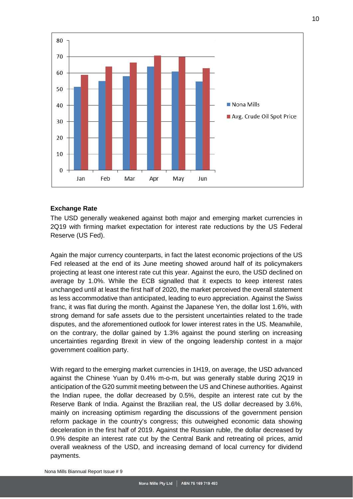

## <span id="page-9-0"></span>**Exchange Rate**

The USD generally weakened against both major and emerging market currencies in 2Q19 with firming market expectation for interest rate reductions by the US Federal Reserve (US Fed).

Again the major currency counterparts, in fact the latest economic projections of the US Fed released at the end of its June meeting showed around half of its policymakers projecting at least one interest rate cut this year. Against the euro, the USD declined on average by 1.0%. While the ECB signalled that it expects to keep interest rates unchanged until at least the first half of 2020, the market perceived the overall statement as less accommodative than anticipated, leading to euro appreciation. Against the Swiss franc, it was flat during the month. Against the Japanese Yen, the dollar lost 1.6%, with strong demand for safe assets due to the persistent uncertainties related to the trade disputes, and the aforementioned outlook for lower interest rates in the US. Meanwhile, on the contrary, the dollar gained by 1.3% against the pound sterling on increasing uncertainties regarding Brexit in view of the ongoing leadership contest in a major government coalition party.

<span id="page-9-1"></span>With regard to the emerging market currencies in 1H19, on average, the USD advanced against the Chinese Yuan by 0.4% m-o-m, but was generally stable during 2Q19 in anticipation of the G20 summit meeting between the US and Chinese authorities. Against the Indian rupee, the dollar decreased by 0.5%, despite an interest rate cut by the Reserve Bank of India. Against the Brazilian real, the US dollar decreased by 3.6%, mainly on increasing optimism regarding the discussions of the government pension reform package in the country's congress; this outweighed economic data showing deceleration in the first half of 2019. Against the Russian ruble, the dollar decreased by 0.9% despite an interest rate cut by the Central Bank and retreating oil prices, amid overall weakness of the USD, and increasing demand of local currency for dividend payments.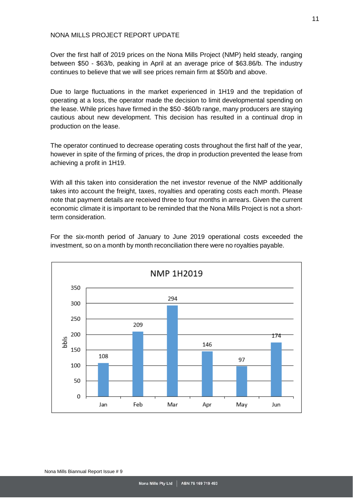### NONA MILLS PROJECT REPORT UPDATE

Over the first half of 2019 prices on the Nona Mills Project (NMP) held steady, ranging between \$50 - \$63/b, peaking in April at an average price of \$63.86/b. The industry continues to believe that we will see prices remain firm at \$50/b and above.

Due to large fluctuations in the market experienced in 1H19 and the trepidation of operating at a loss, the operator made the decision to limit developmental spending on the lease. While prices have firmed in the \$50 -\$60/b range, many producers are staying cautious about new development. This decision has resulted in a continual drop in production on the lease.

The operator continued to decrease operating costs throughout the first half of the year, however in spite of the firming of prices, the drop in production prevented the lease from achieving a profit in 1H19.

With all this taken into consideration the net investor revenue of the NMP additionally takes into account the freight, taxes, royalties and operating costs each month. Please note that payment details are received three to four months in arrears. Given the current economic climate it is important to be reminded that the Nona Mills Project is not a shortterm consideration.

<span id="page-10-0"></span>

For the six-month period of January to June 2019 operational costs exceeded the investment, so on a month by month reconciliation there were no royalties payable.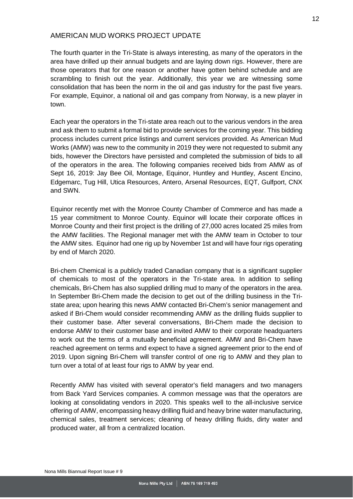## AMERICAN MUD WORKS PROJECT UPDATE

The fourth quarter in the Tri-State is always interesting, as many of the operators in the area have drilled up their annual budgets and are laying down rigs. However, there are those operators that for one reason or another have gotten behind schedule and are scrambling to finish out the year. Additionally, this year we are witnessing some consolidation that has been the norm in the oil and gas industry for the past five years. For example, Equinor, a national oil and gas company from Norway, is a new player in town.

Each year the operators in the Tri-state area reach out to the various vendors in the area and ask them to submit a formal bid to provide services for the coming year. This bidding process includes current price listings and current services provided. As American Mud Works (AMW) was new to the community in 2019 they were not requested to submit any bids, however the Directors have persisted and completed the submission of bids to all of the operators in the area. The following companies received bids from AMW as of Sept 16, 2019: Jay Bee Oil, Montage, Equinor, Huntley and Huntley, Ascent Encino, Edgemarc, Tug Hill, Utica Resources, Antero, Arsenal Resources, EQT, Gulfport, CNX and SWN.

Equinor recently met with the Monroe County Chamber of Commerce and has made a 15 year commitment to Monroe County. Equinor will locate their corporate offices in Monroe County and their first project is the drilling of 27,000 acres located 25 miles from the AMW facilities. The Regional manager met with the AMW team in October to tour the AMW sites. Equinor had one rig up by November 1st and will have four rigs operating by end of March 2020.

Bri-chem Chemical is a publicly traded Canadian company that is a significant supplier of chemicals to most of the operators in the Tri-state area. In addition to selling chemicals, Bri-Chem has also supplied drilling mud to many of the operators in the area. In September Bri-Chem made the decision to get out of the drilling business in the Tristate area; upon hearing this news AMW contacted Bri-Chem's senior management and asked if Bri-Chem would consider recommending AMW as the drilling fluids supplier to their customer base. After several conversations, Bri-Chem made the decision to endorse AMW to their customer base and invited AMW to their corporate headquarters to work out the terms of a mutually beneficial agreement. AMW and Bri-Chem have reached agreement on terms and expect to have a signed agreement prior to the end of 2019. Upon signing Bri-Chem will transfer control of one rig to AMW and they plan to turn over a total of at least four rigs to AMW by year end.

Recently AMW has visited with several operator's field managers and two managers from Back Yard Services companies. A common message was that the operators are looking at consolidating vendors in 2020. This speaks well to the all-inclusive service offering of AMW, encompassing heavy drilling fluid and heavy brine water manufacturing, chemical sales, treatment services; cleaning of heavy drilling fluids, dirty water and produced water, all from a centralized location.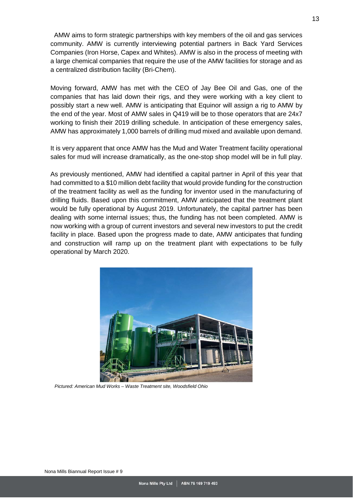AMW aims to form strategic partnerships with key members of the oil and gas services community. AMW is currently interviewing potential partners in Back Yard Services Companies (Iron Horse, Capex and Whites). AMW is also in the process of meeting with a large chemical companies that require the use of the AMW facilities for storage and as a centralized distribution facility (Bri-Chem).

Moving forward, AMW has met with the CEO of Jay Bee Oil and Gas, one of the companies that has laid down their rigs, and they were working with a key client to possibly start a new well. AMW is anticipating that Equinor will assign a rig to AMW by the end of the year. Most of AMW sales in Q419 will be to those operators that are 24x7 working to finish their 2019 drilling schedule. In anticipation of these emergency sales, AMW has approximately 1,000 barrels of drilling mud mixed and available upon demand.

It is very apparent that once AMW has the Mud and Water Treatment facility operational sales for mud will increase dramatically, as the one-stop shop model will be in full play.

As previously mentioned, AMW had identified a capital partner in April of this year that had committed to a \$10 million debt facility that would provide funding for the construction of the treatment facility as well as the funding for inventor used in the manufacturing of drilling fluids. Based upon this commitment, AMW anticipated that the treatment plant would be fully operational by August 2019. Unfortunately, the capital partner has been dealing with some internal issues; thus, the funding has not been completed. AMW is now working with a group of current investors and several new investors to put the credit facility in place. Based upon the progress made to date, AMW anticipates that funding and construction will ramp up on the treatment plant with expectations to be fully operational by March 2020.



*Pictured: American Mud Works – Waste Treatment site, Woodsfield Ohio*